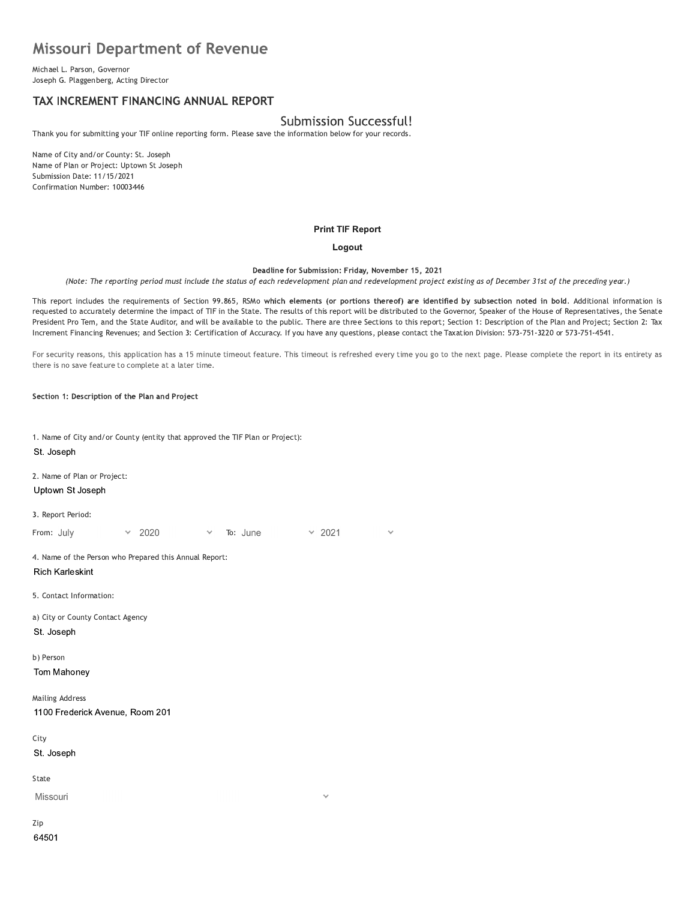# **Missouri Department of Revenue**

Michael L. Parson, Governor Joseph G. Plaggenberg, Acting Director

# TAX INCREMENT FINANCING ANNUAL REPORT

# Submission Successful!

Thank you for submitting your TIF online reporting form. Please save the information below for your records.

Name of City and/or County: St. Joseph Name of Plan or Project: Uptown St Joseph Submission Date: 11/15/2021 Confirmation Number: 10003446

#### **Print TIF Report**

#### Logout

Deadline for Submission: Friday, November 15, 2021

(Note: The reporting period must include the status of each redevelopment plan and redevelopment project existing as of December 31st of the preceding year.)

This report includes the requirements of Section 99.865, RSMo which elements (or portions thereof) are identified by subsection noted in bold. Additional information is requested to accurately determine the impact of TIF in the State. The results of this report will be distributed to the Governor, Speaker of the House of Representatives, the Senate President Pro Tem, and the State Auditor, and will be available to the public. There are three Sections to this report; Section 1: Description of the Plan and Project; Section 2: Tax Increment Financing Revenues; and Section 3: Certification of Accuracy. If you have any questions, please contact the Taxation Division: 573-751-3220 or 573-751-4541.

For security reasons, this application has a 15 minute timeout feature. This timeout is refreshed every time you go to the next page. Please complete the report in its entirety as there is no save feature to complete at a later time.

Section 1: Description of the Plan and Project

1. Name of City and/or County (entity that approved the TIF Plan or Project): St. Joseph 2. Name of Plan or Project: Uptown St Joseph 3. Report Period:  $\times$  2021 From: July 2020 To: June 4. Name of the Person who Prepared this Annual Report: **Rich Karleskint** 5. Contact Information: a) City or County Contact Agency St. Joseph b) Person Tom Mahoney **Mailing Address** 1100 Frederick Avenue, Room 201 City St. Joseph State Missouri Zip

64501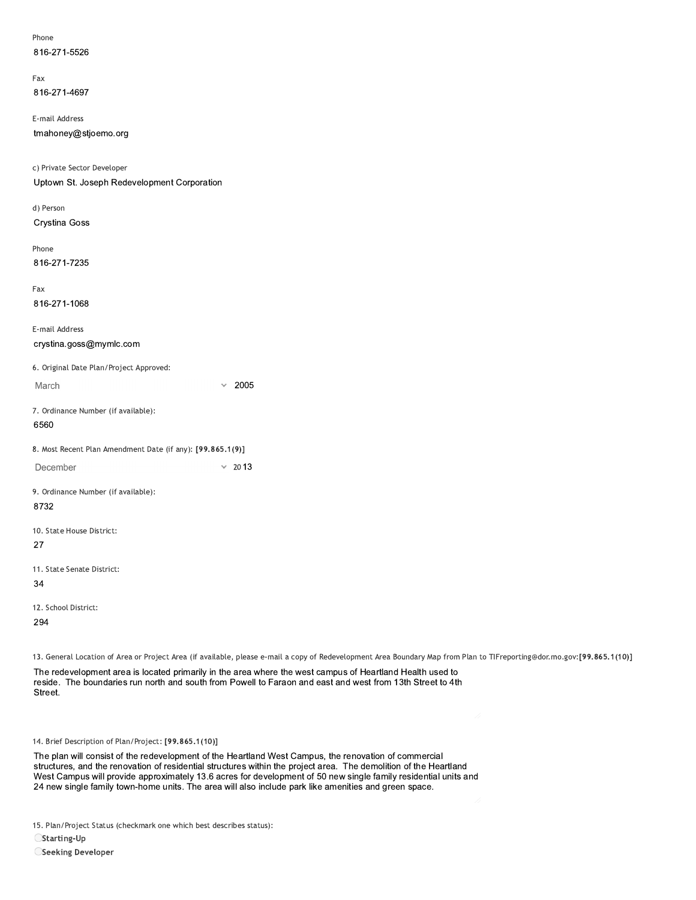| Phone        |
|--------------|
| 816-271-5526 |

rax 816-271-4697

E-mail Address

816-271-5526<br>
Fax<br>
816-271-4697<br>
E-mail Address<br>
tmahoney@stjoemo.org<br>
c) Private Sector Developer<br>
Uptown St. Joseph Redevelopment Corpor<br>
d) Person<br>
Crystina Goss c) Private Sector Developer E-mail Address<br>
tmahoney@stjoemo.org<br>
c) Private Sector Developer<br>
Uptown St. Joseph Redevelopment Corporation<br>
d) Person<br>
Crystina Goss<br>
Phone<br>
816-271-7235

a) Person Crystina Goss rnone

816-271-7235

rax 816-271-1068

E-mail Address

816-271-7235<br>
Fax<br>
816-271-1068<br>
E-mail Address<br>
crystina.goss@mymlc.com<br>
6. Original Date Plan/Project Approved:<br>
March<br>
7. Ordinance Number (if available):<br>
6560 6. Original Date Plan/Project Approved:  $\times$  2005 7. Ordinance Number (if available):

6560

8. Most Recent Plan Amendment Date (if any): [99.865.1(9)]

December  $\times$  2013

9. Ordinance Number (if available): 8732

10. State House District:

27

11. State Senate District:

34

12. School District:

294

13. General Location of Area or Project Area (if available, please e-mail a copy of Redevelopment Area Boundary Map from Plan to TIFreporting@dor.mo.gov:[99.865.1(10)]

The redevelopment area is located primarily in the area where the west campus of Heartland Health used to reside. The boundaries run north and south from Powell to Faraon and east and west from 13th Street to 4th 12. School District:<br>
294<br>
13. General Location of Area or Project Area (if available, please e-mail a copy of Redevelopment Area Boundary Map from Pla<br>
The redevelopment area is located primarily in the area where the wes

14. Brief Description of Plan/Project: [99.865.1(10)]

12. School District:<br>
294<br>
13. General Location of Area or F<br>
The redevelopment area is k<br>
reside. The boundaries run i<br>
Street.<br>
44. Brief Description of Plan/Pro<br>
The plan will consist of the restructures, and the renova The plan will consist of the redevelopment of the Heartland West Campus, the renovation of commercial<br>structures, and the renovation of residential structures within the project area. The demolition of the Heartland reside. The boundaries run north and south from Powell to Faraon and east and west from 13th Street to 4th<br>Street.<br>The plan will consist of the redevelopment of the Heartland West Campus, the renovation of commercial<br>The p Street.<br>14. Brief Description of Plan/Project: [99.865.1(10)]<br>The plan will consist of the redevelopment of the Heartland West Campus, the renovation of commercial<br>structures, and the renovation of residential structures w 24 new single family town-home units. The area will also include park like amenities and green space. ion of Plan/Project: [99.865.1(10)]<br>
Dinsist of the redevelopment of the Heartland West Campus, the renovation of commercial<br>
the renovation of residential structures within the project area. The demolition of the Heartlan

15. Plan/Project Status (checkmark one which best describes status):

 $\bigcirc$ Starting-Up

OSeeking Developer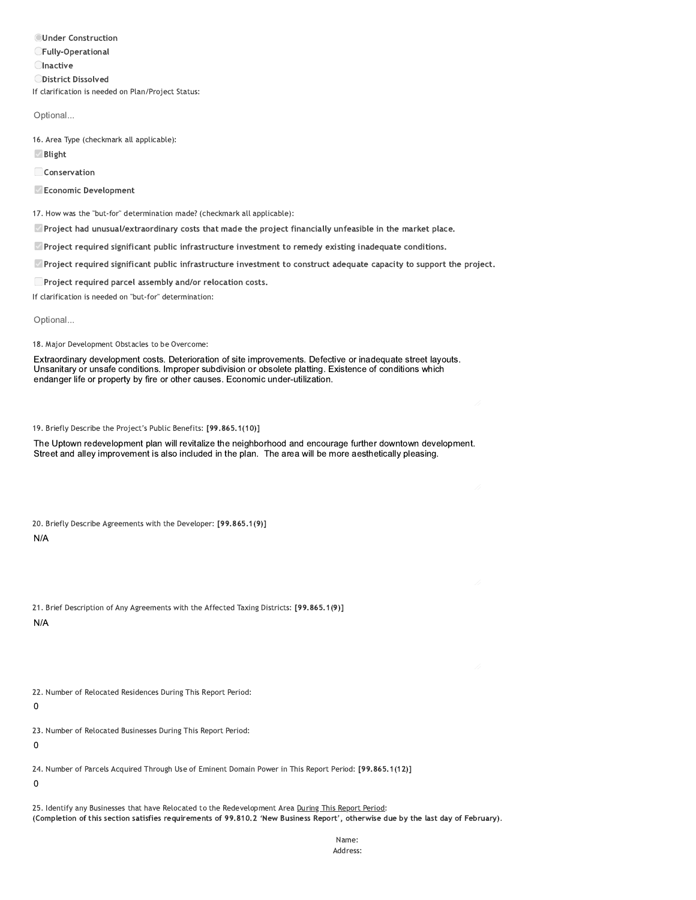**OUnder Construction CFully-Operational Olnactive ODistrict Dissolved** If clarification is needed on Plan/Project Status:

Optional...

16. Area Type (checkmark all applicable):

**Ø** Blight

Conservation

Economic Development

17. How was the "but-for" determination made? (checkmark all applicable):

Project had unusual/extraordinary costs that made the project financially unfeasible in the market place.

 $\Box$  Project required significant public infrastructure investment to remedy existing inadequate conditions.

<sup>2</sup> Project required significant public infrastructure investment to construct adequate capacity to support the project.

□ Project required parcel assembly and/or relocation costs.

If clarification is needed on "but-for" determination:

Optional...

18. Major Development Obstacles to be Overcome:

Extraordinary development costs. Deterioration of site improvements. Defective or inadequate street layouts. Unsanitary or unsafe conditions. Improper subdivision or obsolete platting. Existence of conditions which endanger life or property by fire or other causes. Economic under-utilization.

19. Briefly Describe the Project's Public Benefits: [99.865.1(10)]

The Uptown redevelopment plan will revitalize the neighborhood and encourage further downtown development. Street and alley improvement is also included in the plan. The area will be more aesthetically pleasing.

20. Briefly Describe Agreements with the Developer: [99.865.1(9)]

 $N/A$ 

|     |  | 21. Brief Description of Any Agreements with the Affected Taxing Districts: [99.865.1(9)] |  |  |  |  |
|-----|--|-------------------------------------------------------------------------------------------|--|--|--|--|
| N/A |  |                                                                                           |  |  |  |  |

N/A

22. Number of Relocated Residences During This Report Period:

 $\mathbf 0$ 

23. Number of Relocated Businesses During This Report Period:

 $\mathbf 0$ 

24. Number of Parcels Acquired Through Use of Eminent Domain Power in This Report Period: [99.865.1(12)]

 $\mathbf 0$ 

25. Identify any Businesses that have Relocated to the Redevelopment Area During This Report Period: (Completion of this section satisfies requirements of 99.810.2 'New Business Report', otherwise due by the last day of February).

> Name: Address: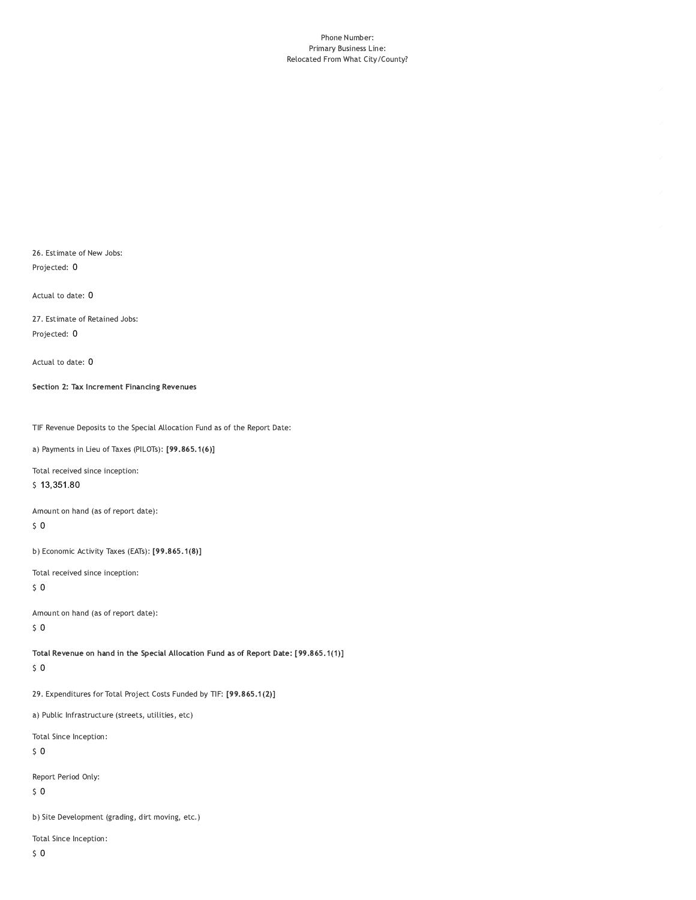#### Phone Number: Primary Business Line: Relocated From What City/County?

26. Estimate of New Jobs: Projected: 0

Actual to date: 0

27. Estimate of Retained Jobs: Projected: 0

Actual to date: 0

Section 2: Tax Increment Financing Revenues

TIF Revenue Deposits to the Special Allocation Fund as of the Report Date:

a) Payments in Lieu of Taxes (PILOTs): [99.865.1(6)]

Total received since inception:

\$13,351.80

Amount on hand (as of report date):

 $\sqrt{5}$  O

b) Economic Activity Taxes (EATs): [99.865.1(8)]

Total received since inception:

 $\sqrt{5}$  O

Amount on hand (as of report date):

 $\sqrt{5}$  O

Total Revenue on hand in the Special Allocation Fund as of Report Date: [99.865.1(1)]  $\sqrt{5}$  O

29. Expenditures for Total Project Costs Funded by TIF: [99.865.1(2)]

a) Public Infrastructure (streets, utilities, etc)

Total Since Inception:

 $\sqrt{5}$  O

Report Period Only:

 $\sqrt{5}$  O

b) Site Development (grading, dirt moving, etc.)

Total Since Inception: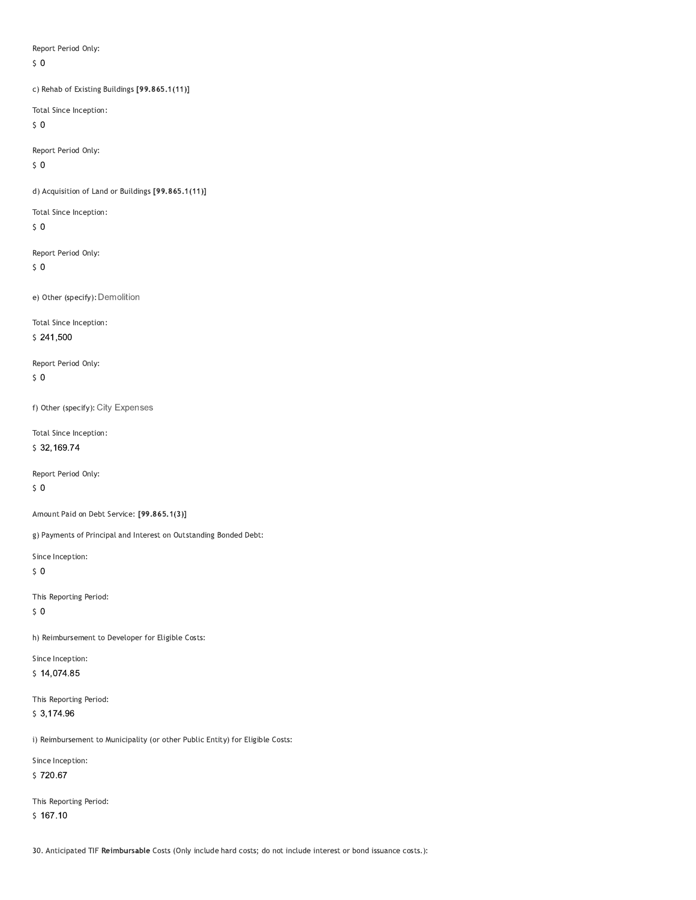Report Period Only:

 $\zeta$  0

c) Rehab of Existing Buildings [99.865.1(11)]

Total Since Inception:

 $\sqrt{5}$  O

Report Period Only:

 $50$ 

d) Acquisition of Land or Buildings [99.865.1(11)]

Total Since Inception:

 $50$ 

Report Period Only:

 $\sqrt{5}$  O

e) Other (specify): Demolition

Total Since Inception:

 $$241,500$ 

Report Period Only:  $50$ 

f) Other (specify): City Expenses

Total Since Inception: \$32,169.74

Report Period Only:

 $\sqrt{5}$  O

Amount Paid on Debt Service: [99.865.1(3)]

g) Payments of Principal and Interest on Outstanding Bonded Debt:

Since Inception:

 $50$ 

This Reporting Period:

 $\sqrt{5}$  O

h) Reimbursement to Developer for Eligible Costs:

Since Inception:  $$14,074.85$ 

This Reporting Period:  $$3,174.96$ 

i) Reimbursement to Municipality (or other Public Entity) for Eligible Costs:

Since Inception:

\$720.67

This Reporting Period:  $$167.10$ 

30. Anticipated TIF Reimbursable Costs (Only include hard costs; do not include interest or bond issuance costs.):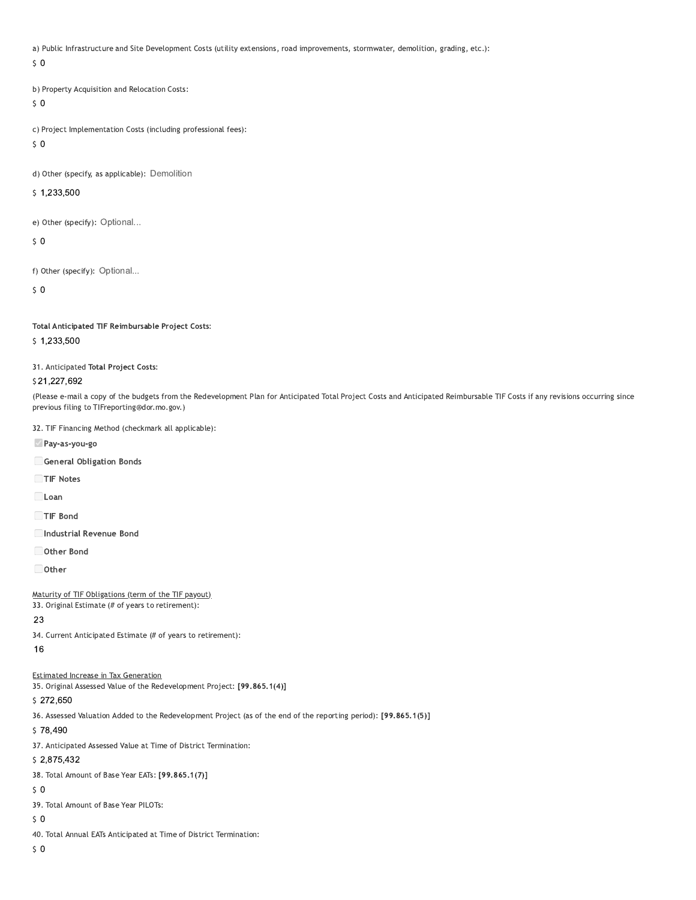a) Public Infrastructure and Site Development Costs (utility extensions, road improvements, stormwater, demolition, grading, etc.):

 $\zeta$  0

b) Property Acquisition and Relocation Costs:

 $50$ 

c) Project Implementation Costs (including professional fees):

 $\sqrt{5}$  O

d) Other (specify, as applicable): Demolition

\$1,233,500

e) Other (specify): Optional...

 $\mathsf{S}$  0

f) Other (specify): Optional...

 $\mathsf{S}$  0

Total Anticipated TIF Reimbursable Project Costs:

\$1,233,500

31. Anticipated Total Project Costs:

#### \$21,227,692

(Please e-mail a copy of the budgets from the Redevelopment Plan for Anticipated Total Project Costs and Anticipated Reimbursable TIF Costs if any revisions occurring since previous filing to TIFreporting@dor.mo.gov.)

32. TIF Financing Method (checkmark all applicable):

Pay-as-you-go

General Obligation Bonds

TIF Notes

Loan

TIF Bond

Industrial Revenue Bond

Other Bond

 $\Box$  Other

Maturity of TIF Obligations (term of the TIF payout)

33. Original Estimate (# of years to retirement):

### 23

34. Current Anticipated Estimate (# of years to retirement):

16

## **Estimated Increase in Tax Generation**

35. Original Assessed Value of the Redevelopment Project: [99.865.1(4)]

## \$272,650

36. Assessed Valuation Added to the Redevelopment Project (as of the end of the reporting period): [99.865.1(5)]

\$78,490

37. Anticipated Assessed Value at Time of District Termination:

## \$2,875,432

38. Total Amount of Base Year EATs: [99.865.1(7)]

 $50$ 

39. Total Amount of Base Year PILOTs:

 $50$ 

40. Total Annual EATs Anticipated at Time of District Termination:

 $50$